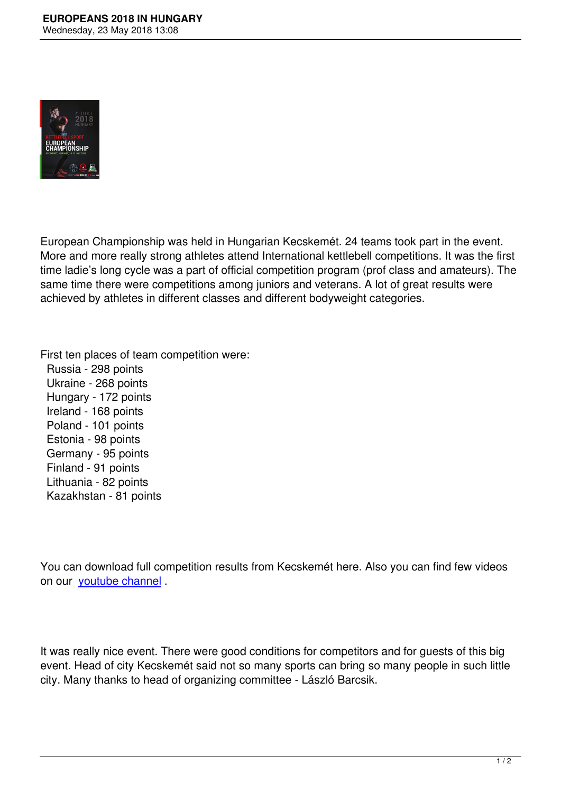

European Championship was held in Hungarian Kecskemét. 24 teams took part in the event. More and more really strong athletes attend International kettlebell competitions. It was the first time ladie's long cycle was a part of official competition program (prof class and amateurs). The same time there were competitions among juniors and veterans. A lot of great results were achieved by athletes in different classes and different bodyweight categories.

First ten places of team competition were:

 Russia - 298 points Ukraine - 268 points Hungary - 172 points Ireland - 168 points Poland - 101 points Estonia - 98 points Germany - 95 points Finland - 91 points Lithuania - 82 points Kazakhstan - 81 points

You can download full competition results from Kecskemét here. Also you can find few videos on our youtube channel .

It was really nice event. There were good conditions for competitors and for guests of this big event. Head of city Kecskemét said not so many sports can bring so many people in such little city. Many thanks to head of organizing committee - László Barcsik.